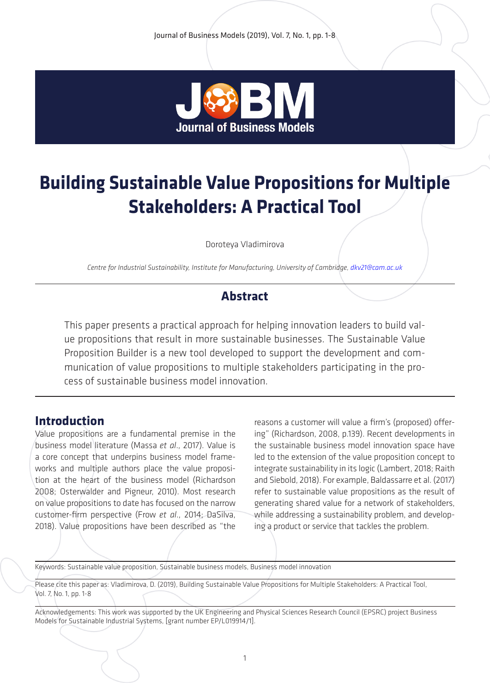

# **Building Sustainable Value Propositions for Multiple Stakeholders: A Practical Tool**

Doroteya Vladimirova

*Centre for Industrial Sustainability, Institute for Manufacturing, University of Cambridge, dkv21@cam.ac.uk*

## **Abstract**

This paper presents a practical approach for helping innovation leaders to build value propositions that result in more sustainable businesses. The Sustainable Value Proposition Builder is a new tool developed to support the development and communication of value propositions to multiple stakeholders participating in the process of sustainable business model innovation.

#### **Introduction**

Value propositions are a fundamental premise in the business model literature (Massa *et al*., 2017). Value is a core concept that underpins business model frameworks and multiple authors place the value proposition at the heart of the business model (Richardson 2008; Osterwalder and Pigneur, 2010). Most research on value propositions to date has focused on the narrow customer-firm perspective (Frow *et al*., 2014; DaSilva, 2018). Value propositions have been described as "the

reasons a customer will value a firm's (proposed) offering" (Richardson, 2008, p.139). Recent developments in the sustainable business model innovation space have led to the extension of the value proposition concept to integrate sustainability in its logic (Lambert, 2018; Raith and Siebold, 2018). For example, Baldassarre et al. (2017) refer to sustainable value propositions as the result of generating shared value for a network of stakeholders, while addressing a sustainability problem, and developing a product or service that tackles the problem.

Keywords: Sustainable value proposition, Sustainable business models, Business model innovation

Please cite this paper as: Vladimirova, D. (2019), Building Sustainable Value Propositions for Multiple Stakeholders: A Practical Tool, Vol. 7, No. 1, pp. 1-8

Acknowledgements: This work was supported by the UK Engineering and Physical Sciences Research Council (EPSRC) project Business Models for Sustainable Industrial Systems, [grant number EP/L019914/1].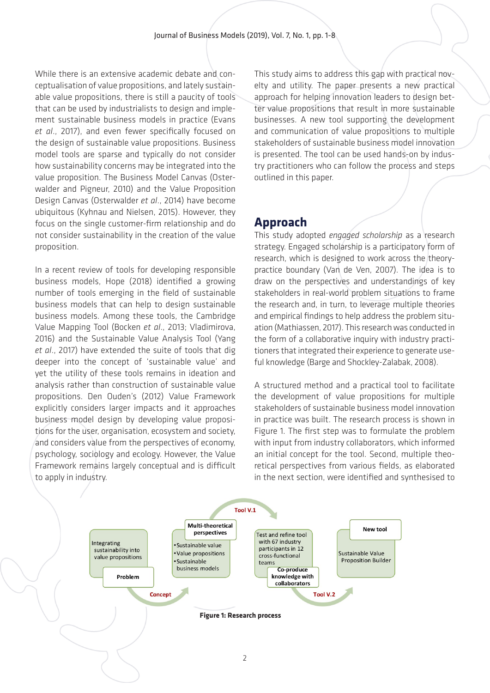While there is an extensive academic debate and conceptualisation of value propositions, and lately sustainable value propositions, there is still a paucity of tools that can be used by industrialists to design and implement sustainable business models in practice (Evans *et al*., 2017), and even fewer specifically focused on the design of sustainable value propositions. Business model tools are sparse and typically do not consider how sustainability concerns may be integrated into the value proposition. The Business Model Canvas (Osterwalder and Pigneur, 2010) and the Value Proposition Design Canvas (Osterwalder *et al*., 2014) have become ubiquitous (Kyhnau and Nielsen, 2015). However, they focus on the single customer-firm relationship and do not consider sustainability in the creation of the value proposition.

In a recent review of tools for developing responsible business models, Hope (2018) identified a growing number of tools emerging in the field of sustainable business models that can help to design sustainable business models. Among these tools, the Cambridge Value Mapping Tool (Bocken *et al*., 2013; Vladimirova, 2016) and the Sustainable Value Analysis Tool (Yang *et al*., 2017) have extended the suite of tools that dig deeper into the concept of 'sustainable value' and yet the utility of these tools remains in ideation and analysis rather than construction of sustainable value propositions. Den Ouden's (2012) Value Framework explicitly considers larger impacts and it approaches business model design by developing value propositions for the user, organisation, ecosystem and society, and considers value from the perspectives of economy, psychology, sociology and ecology. However, the Value Framework remains largely conceptual and is difficult to apply in industry.

This study aims to address this gap with practical novelty and utility. The paper presents a new practical approach for helping innovation leaders to design better value propositions that result in more sustainable businesses. A new tool supporting the development and communication of value propositions to multiple stakeholders of sustainable business model innovation is presented. The tool can be used hands-on by industry practitioners who can follow the process and steps outlined in this paper.

## **Approach**

This study adopted *engaged scholarship* as a research strategy. Engaged scholarship is a participatory form of research, which is designed to work across the theorypractice boundary (Van de Ven, 2007). The idea is to draw on the perspectives and understandings of key stakeholders in real-world problem situations to frame the research and, in turn, to leverage multiple theories and empirical findings to help address the problem situation (Mathiassen, 2017). This research was conducted in the form of a collaborative inquiry with industry practitioners that integrated their experience to generate useful knowledge (Barge and Shockley-Zalabak, 2008).

A structured method and a practical tool to facilitate the development of value propositions for multiple stakeholders of sustainable business model innovation in practice was built. The research process is shown in Figure 1. The first step was to formulate the problem with input from industry collaborators, which informed an initial concept for the tool. Second, multiple theoretical perspectives from various fields, as elaborated in the next section, were identified and synthesised to

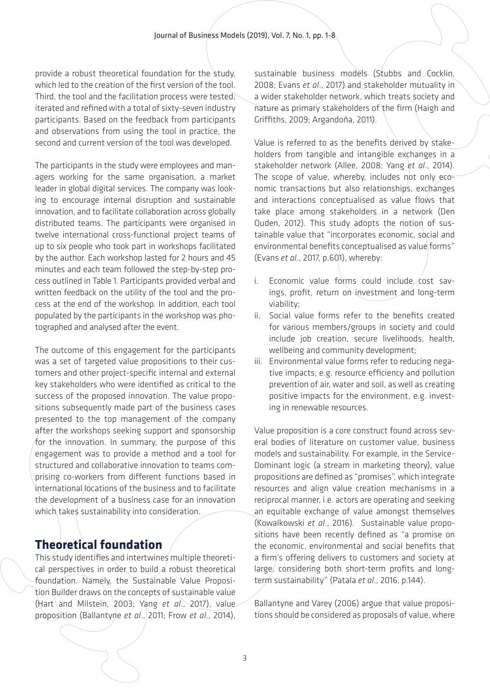provide a robust theoretical foundation for the study, which led to the creation of the first version of the tool. Third, the tool and the facilitation process were tested, iterated and refined with a total of sixty-seven industry participants. Based on the feedback from participants and observations from using the tool in practice, the second and current version of the tool was developed.

The participants in the study were employees and managers working for the same organisation, a market leader in global digital services. The company was looking to encourage internal disruption and sustainable innovation, and to facilitate collaboration across globally distributed teams. The participants were organised in twelve international cross-functional project teams of up to six people who took part in workshops facilitated by the author. Each workshop lasted for 2 hours and 45 minutes and each team followed the step-by-step process outlined in Table 1. Participants provided verbal and written feedback on the utility of the tool and the process at the end of the workshop. In addition, each tool populated by the participants in the workshop was photographed and analysed after the event.

The outcome of this engagement for the participants was a set of targeted value propositions to their customers and other project-specific internal and external key stakeholders who were identified as critical to the success of the proposed innovation. The value propositions subsequently made part of the business cases presented to the top management of the company after the workshops seeking support and sponsorship for the innovation. In summary, the purpose of this engagement was to provide a method and a tool for structured and collaborative innovation to teams comprising co-workers from different functions based in international locations of the business and to facilitate the development of a business case for an innovation which takes sustainability into consideration.

# **Theoretical foundation**

This study identifies and intertwines multiple theoretical perspectives in order to build a robust theoretical foundation. Namely, the Sustainable Value Proposition Builder draws on the concepts of sustainable value (Hart and Milstein, 2003; Yang *et al*., 2017), value proposition (Ballantyne *et al*., 2011; Frow *et al*., 2014),

sustainable business models (Stubbs and Cocklin, 2008; Evans *et al*., 2017) and stakeholder mutuality in a wider stakeholder network, which treats society and nature as primary stakeholders of the firm (Haigh and Griffiths, 2009; Argandoña, 2011).

Value is referred to as the benefits derived by stakeholders from tangible and intangible exchanges in a stakeholder network (Allee, 2008; Yang *et al*., 2014). The scope of value, whereby, includes not only economic transactions but also relationships, exchanges and interactions conceptualised as value flows that take place among stakeholders in a network (Den Ouden, 2012). This study adopts the notion of sustainable value that "incorporates economic, social and environmental benefits conceptualised as value forms" (Evans *et al*., 2017, p.601), whereby:

- i. Economic value forms could include cost savings, profit, return on investment and long-term viability;
- ii. Social value forms refer to the benefits created for various members/groups in society and could include job creation, secure livelihoods, health, wellbeing and community development;
- iii. Environmental value forms refer to reducing negative impacts, e.g. resource efficiency and pollution prevention of air, water and soil, as well as creating positive impacts for the environment, e.g. investing in renewable resources.

Value proposition is a core construct found across several bodies of literature on customer value, business models and sustainability. For example, in the Service-Dominant logic (a stream in marketing theory), value propositions are defined as "promises", which integrate resources and align value creation mechanisms in a reciprocal manner, i.e. actors are operating and seeking an equitable exchange of value amongst themselves (Kowalkowski *et al*., 2016). Sustainable value propositions have been recently defined as "a promise on the economic, environmental and social benefits that a firm's offering delivers to customers and society at large, considering both short-term profits and longterm sustainability" (Patala *et al*., 2016, p.144).

Ballantyne and Varey (2006) argue that value propositions should be considered as proposals of value, where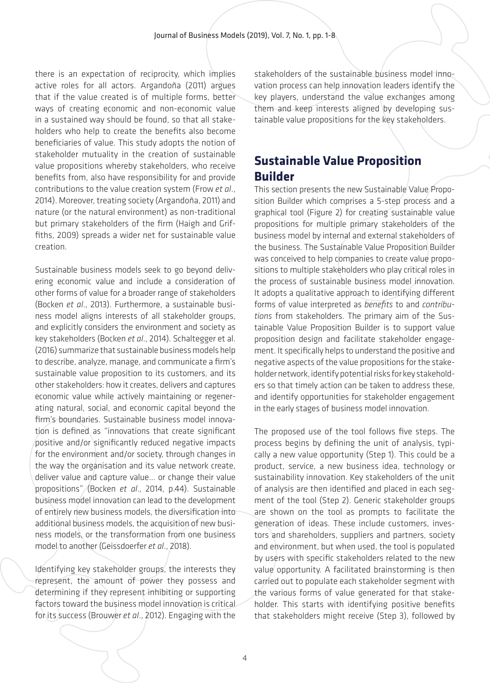there is an expectation of reciprocity, which implies active roles for all actors. Argandoña (2011) argues that if the value created is of multiple forms, better ways of creating economic and non-economic value in a sustained way should be found, so that all stakeholders who help to create the benefits also become beneficiaries of value. This study adopts the notion of stakeholder mutuality in the creation of sustainable value propositions whereby stakeholders, who receive benefits from, also have responsibility for and provide contributions to the value creation system (Frow *et al*., 2014). Moreover, treating society (Argandoña, 2011) and nature (or the natural environment) as non-traditional but primary stakeholders of the firm (Haigh and Griffiths, 2009) spreads a wider net for sustainable value creation.

Sustainable business models seek to go beyond delivering economic value and include a consideration of other forms of value for a broader range of stakeholders (Bocken *et al*., 2013). Furthermore, a sustainable business model aligns interests of all stakeholder groups, and explicitly considers the environment and society as key stakeholders (Bocken *et al*., 2014). Schaltegger et al. (2016) summarize that sustainable business models help to describe, analyze, manage, and communicate a firm's sustainable value proposition to its customers, and its other stakeholders: how it creates, delivers and captures economic value while actively maintaining or regenerating natural, social, and economic capital beyond the firm's boundaries. Sustainable business model innovation is defined as "innovations that create significant positive and/or significantly reduced negative impacts for the environment and/or society, through changes in the way the organisation and its value network create. deliver value and capture value… or change their value propositions" (Bocken *et al*., 2014, p.44). Sustainable business model innovation can lead to the development of entirely new business models, the diversification into additional business models, the acquisition of new business models, or the transformation from one business model to another (Geissdoerfer *et al*., 2018).

Identifying key stakeholder groups, the interests they represent, the amount of power they possess and determining if they represent inhibiting or supporting factors toward the business model innovation is critical for its success (Brouwer *et al*., 2012). Engaging with the

stakeholders of the sustainable business model innovation process can help innovation leaders identify the key players, understand the value exchanges among them and keep interests aligned by developing sustainable value propositions for the key stakeholders.

# **Sustainable Value Proposition Builder**

This section presents the new Sustainable Value Proposition Builder which comprises a 5-step process and a graphical tool (Figure 2) for creating sustainable value propositions for multiple primary stakeholders of the business model by internal and external stakeholders of the business. The Sustainable Value Proposition Builder was conceived to help companies to create value propositions to multiple stakeholders who play critical roles in the process of sustainable business model innovation. It adopts a qualitative approach to identifying different forms of value interpreted as *benefits* to and *contributions* from stakeholders. The primary aim of the Sustainable Value Proposition Builder is to support value proposition design and facilitate stakeholder engagement. It specifically helps to understand the positive and negative aspects of the value propositions for the stakeholder network, identify potential risks for key stakeholders so that timely action can be taken to address these, and identify opportunities for stakeholder engagement in the early stages of business model innovation.

The proposed use of the tool follows five steps. The process begins by defining the unit of analysis, typically a new value opportunity (Step 1). This could be a product, service, a new business idea, technology or sustainability innovation. Key stakeholders of the unit of analysis are then identified and placed in each segment of the tool (Step 2). Generic stakeholder groups are shown on the tool as prompts to facilitate the generation of ideas. These include customers, investors and shareholders, suppliers and partners, society and environment, but when used, the tool is populated by users with specific stakeholders related to the new value opportunity. A facilitated brainstorming is then carried out to populate each stakeholder segment with the various forms of value generated for that stakeholder. This starts with identifying positive benefits that stakeholders might receive (Step 3), followed by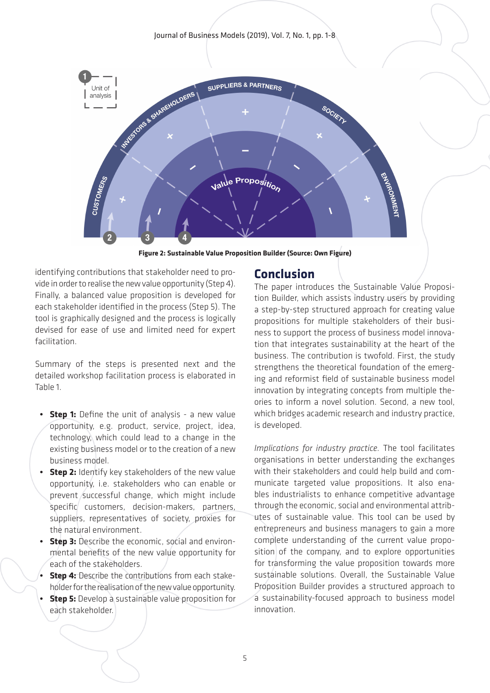Journal of Business Models (2019), Vol. 7, No. 1, pp. 1-8



**Figure 2: Sustainable Value Proposition Builder (Source: Own Figure)**

identifying contributions that stakeholder need to provide in order to realise the new value opportunity (Step 4). Finally, a balanced value proposition is developed for each stakeholder identified in the process (Step 5). The tool is graphically designed and the process is logically devised for ease of use and limited need for expert facilitation.

Summary of the steps is presented next and the detailed workshop facilitation process is elaborated in Table 1.

- **Step 1:** Define the unit of analysis a new value opportunity, e.g. product, service, project, idea, technology, which could lead to a change in the existing business model or to the creation of a new business model.
- **Step 2:** Identify key stakeholders of the new value opportunity, i.e. stakeholders who can enable or prevent successful change, which might include specific customers, decision-makers, partners, suppliers, representatives of society, proxies for the natural environment.
- **Step 3:** Describe the economic, social and environmental benefits of the new value opportunity for each of the stakeholders.
- **• Step 4:** Describe the contributions from each stakeholder for the realisation of the new value opportunity.
- **• Step 5:** Develop a sustainable value proposition for each stakeholder.

#### **Conclusion**

The paper introduces the Sustainable Value Proposition Builder, which assists industry users by providing a step-by-step structured approach for creating value propositions for multiple stakeholders of their business to support the process of business model innovation that integrates sustainability at the heart of the business. The contribution is twofold. First, the study strengthens the theoretical foundation of the emerging and reformist field of sustainable business model innovation by integrating concepts from multiple theories to inform a novel solution. Second, a new tool, which bridges academic research and industry practice, is developed.

*Implications for industry practice.* The tool facilitates organisations in better understanding the exchanges with their stakeholders and could help build and communicate targeted value propositions. It also enables industrialists to enhance competitive advantage through the economic, social and environmental attributes of sustainable value. This tool can be used by entrepreneurs and business managers to gain a more complete understanding of the current value proposition of the company, and to explore opportunities for transforming the value proposition towards more sustainable solutions. Overall, the Sustainable Value Proposition Builder provides a structured approach to a sustainability-focused approach to business model innovation.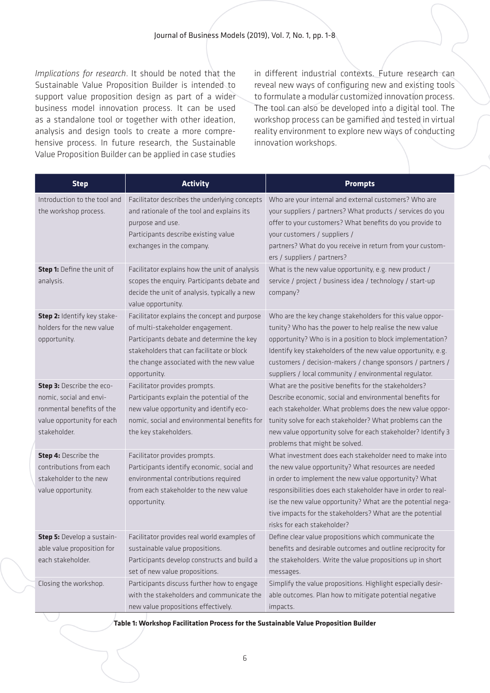*Implications for research*. It should be noted that the Sustainable Value Proposition Builder is intended to support value proposition design as part of a wider business model innovation process. It can be used as a standalone tool or together with other ideation, analysis and design tools to create a more comprehensive process. In future research, the Sustainable Value Proposition Builder can be applied in case studies

in different industrial contexts. Future research can reveal new ways of configuring new and existing tools to formulate a modular customized innovation process. The tool can also be developed into a digital tool. The workshop process can be gamified and tested in virtual reality environment to explore new ways of conducting innovation workshops.

| <b>Step</b>                                                                                                                     | <b>Activity</b>                                                                                                                                                                                                                        | <b>Prompts</b>                                                                                                                                                                                                                                                                                                                                                                                       |
|---------------------------------------------------------------------------------------------------------------------------------|----------------------------------------------------------------------------------------------------------------------------------------------------------------------------------------------------------------------------------------|------------------------------------------------------------------------------------------------------------------------------------------------------------------------------------------------------------------------------------------------------------------------------------------------------------------------------------------------------------------------------------------------------|
| Introduction to the tool and<br>the workshop process.                                                                           | Facilitator describes the underlying concepts<br>and rationale of the tool and explains its<br>purpose and use.<br>Participants describe existing value<br>exchanges in the company.                                                   | Who are your internal and external customers? Who are<br>your suppliers / partners? What products / services do you<br>offer to your customers? What benefits do you provide to<br>your customers / suppliers /<br>partners? What do you receive in return from your custom-<br>ers / suppliers / partners?                                                                                          |
| Step 1: Define the unit of<br>analysis.                                                                                         | Facilitator explains how the unit of analysis<br>scopes the enquiry. Participants debate and<br>decide the unit of analysis, typically a new<br>value opportunity.                                                                     | What is the new value opportunity, e.g. new product /<br>service / project / business idea / technology / start-up<br>company?                                                                                                                                                                                                                                                                       |
| Step 2: Identify key stake-<br>holders for the new value<br>opportunity.                                                        | Facilitator explains the concept and purpose<br>of multi-stakeholder engagement.<br>Participants debate and determine the key<br>stakeholders that can facilitate or block<br>the change associated with the new value<br>opportunity. | Who are the key change stakeholders for this value oppor-<br>tunity? Who has the power to help realise the new value<br>opportunity? Who is in a position to block implementation?<br>Identify key stakeholders of the new value opportunity, e.g.<br>customers / decision-makers / change sponsors / partners /<br>suppliers / local community / environmental regulator.                           |
| Step 3: Describe the eco-<br>nomic, social and envi-<br>ronmental benefits of the<br>value opportunity for each<br>stakeholder. | Facilitator provides prompts.<br>Participants explain the potential of the<br>new value opportunity and identify eco-<br>nomic, social and environmental benefits for<br>the key stakeholders.                                         | What are the positive benefits for the stakeholders?<br>Describe economic, social and environmental benefits for<br>each stakeholder. What problems does the new value oppor-<br>tunity solve for each stakeholder? What problems can the<br>new value opportunity solve for each stakeholder? Identify 3<br>problems that might be solved.                                                          |
| Step 4: Describe the<br>contributions from each<br>stakeholder to the new<br>value opportunity.                                 | Facilitator provides prompts.<br>Participants identify economic, social and<br>environmental contributions required<br>from each stakeholder to the new value<br>opportunity.                                                          | What investment does each stakeholder need to make into<br>the new value opportunity? What resources are needed<br>in order to implement the new value opportunity? What<br>responsibilities does each stakeholder have in order to real-<br>ise the new value opportunity? What are the potential nega-<br>tive impacts for the stakeholders? What are the potential<br>risks for each stakeholder? |
| Step 5: Develop a sustain-<br>able value proposition for<br>each stakeholder.                                                   | Facilitator provides real world examples of<br>sustainable value propositions.<br>Participants develop constructs and build a<br>set of new value propositions.                                                                        | Define clear value propositions which communicate the<br>benefits and desirable outcomes and outline reciprocity for<br>the stakeholders. Write the value propositions up in short<br>messages.                                                                                                                                                                                                      |
| Closing the workshop.                                                                                                           | Participants discuss further how to engage<br>with the stakeholders and communicate the<br>new value propositions effectively.                                                                                                         | Simplify the value propositions. Highlight especially desir-<br>able outcomes. Plan how to mitigate potential negative<br>impacts.                                                                                                                                                                                                                                                                   |

**Table 1: Workshop Facilitation Process for the Sustainable Value Proposition Builder**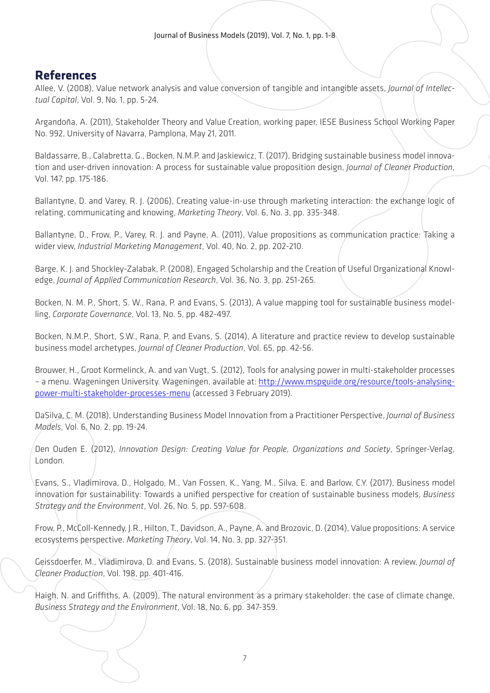## **References**

Allee, V. (2008), Value network analysis and value conversion of tangible and intangible assets, *Journal of Intellectual Capital*, Vol. 9, No. 1, pp. 5-24.

Argandoña, A. (2011), Stakeholder Theory and Value Creation, working paper, IESE Business School Working Paper No. 992, University of Navarra, Pamplona, May 21, 2011.

Baldassarre, B., Calabretta, G., Bocken, N.M.P. and Jaskiewicz, T. (2017), Bridging sustainable business model innovation and user-driven innovation: A process for sustainable value proposition design, *Journal of Cleaner Production*, Vol. 147, pp. 175-186.

Ballantyne, D. and Varey, R. J. (2006), Creating value-in-use through marketing interaction: the exchange logic of relating, communicating and knowing, *Marketing Theory*, Vol. 6, No. 3, pp. 335-348.

Ballantyne, D., Frow, P., Varey, R. J. and Payne, A. (2011), Value propositions as communication practice: Taking a wider view, *Industrial Marketing Management*, Vol. 40, No. 2, pp. 202-210.

Barge, K. J. and Shockley-Zalabak, P. (2008), Engaged Scholarship and the Creation of Useful Organizational Knowledge, *Journal of Applied Communication Research*, Vol. 36, No. 3, pp. 251-265.

Bocken, N. M. P., Short, S. W., Rana, P. and Evans, S. (2013), A value mapping tool for sustainable business modelling, *Corporate Governance*, Vol. 13, No. 5, pp. 482-497.

Bocken, N.M.P., Short, S.W., Rana, P. and Evans, S. (2014), A literature and practice review to develop sustainable business model archetypes, *Journal of Cleaner Production*, Vol. 65, pp. 42-56.

Brouwer, H., Groot Kormelinck, A. and van Vugt, S. (2012), Tools for analysing power in multi-stakeholder processes – a menu. Wageningen University. Wageningen, available at: [http://www.mspguide.org/resource/tools-analysing](http://www.mspguide.org/resource/tools-analysing-power-multi-stakeholder-processes-menu)[power-multi-stakeholder-processes-menu](http://www.mspguide.org/resource/tools-analysing-power-multi-stakeholder-processes-menu) (accessed 3 February 2019).

DaSilva, C. M. (2018), Understanding Business Model Innovation from a Practitioner Perspective, *Journal of Business Models*, Vol. 6, No. 2, pp. 19-24.

Den Ouden E. (2012), *Innovation Design: Creating Value for People, Organizations and Society*, Springer-Verlag, London.

Evans, S., Vladimirova, D., Holgado, M., Van Fossen, K., Yang, M., Silva, E. and Barlow, C.Y. (2017), Business model innovation for sustainability: Towards a unified perspective for creation of sustainable business models, *Business Strategy and the Environment*, Vol. 26, No. 5, pp. 597-608.

Frow, P., McColl-Kennedy, J.R., Hilton, T., Davidson, A., Payne, A. and Brozovic, D. (2014), Value propositions: A service ecosystems perspective. *Marketing Theory*, Vol. 14, No. 3, pp. 327-351.

Geissdoerfer, M., Vladimirova, D. and Evans, S. (2018), Sustainable business model innovation: A review, *Journal of Cleaner Production*, Vol. 198, pp. 401-416.

Haigh, N. and Griffiths, A. (2009), The natural environment as a primary stakeholder: the case of climate change, *Business Strategy and the Environment*, Vol. 18, No. 6, pp. 347-359.